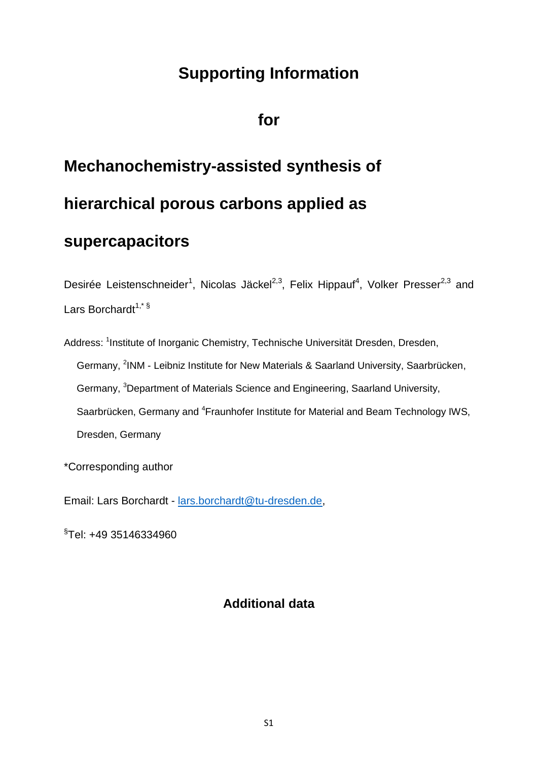## **Supporting Information**

**for**

## **Mechanochemistry-assisted synthesis of hierarchical porous carbons applied as**

## **supercapacitors**

Desirée Leistenschneider<sup>1</sup>, Nicolas Jäckel<sup>2,3</sup>, Felix Hippauf<sup>4</sup>, Volker Presser<sup>2,3</sup> and Lars Borchardt<sup>1,\* §</sup>

Address: <sup>1</sup>Institute of Inorganic Chemistry, Technische Universität Dresden, Dresden, Germany, <sup>2</sup>INM - Leibniz Institute for New Materials & Saarland University, Saarbrücken, Germany, <sup>3</sup>Department of Materials Science and Engineering, Saarland University, Saarbrücken, Germany and <sup>4</sup>Fraunhofer Institute for Material and Beam Technology IWS, Dresden, Germany

\*Corresponding author

Email: Lars Borchardt - [lars.borchardt@tu-dresden.de,](mailto:lars.borchardt@tu-dresden.de)

§ Tel: +49 35146334960

## **Additional data**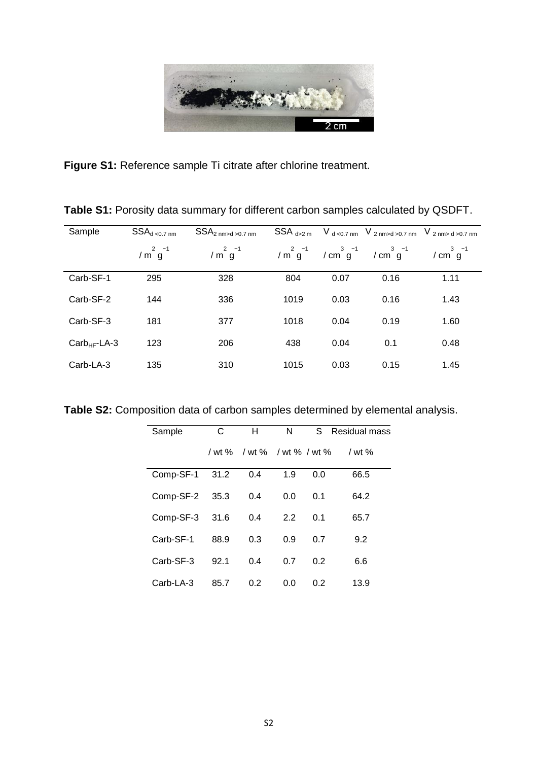

**Figure S1:** Reference sample Ti citrate after chlorine treatment.

| Sample        | $SSA_{d\text{ }<0.7\text{ nm}}$ | SSA <sub>2 nm&gt;d &gt; 0.7 nm</sub> | $SSA_{d>2m}$ |      |                                                                                                | $V_{d < 0.7 \text{ nm}}$ V $_{2 \text{ nm} > d > 0.7 \text{ nm}}$ V $_{2 \text{ nm} > d > 0.7 \text{ nm}}$ |
|---------------|---------------------------------|--------------------------------------|--------------|------|------------------------------------------------------------------------------------------------|------------------------------------------------------------------------------------------------------------|
|               | / $m^2$ $g^{-1}$                | / $m^2$ $g^{-1}$                     |              |      | $7 \text{ m}^2 \text{ g}^{-1}$ $7 \text{ cm}^3 \text{ g}^{-1}$ $7 \text{ cm}^3 \text{ g}^{-1}$ | / $\text{cm}^3 \text{ g}^{-1}$                                                                             |
| Carb-SF-1     | 295                             | 328                                  | 804          | 0.07 | 0.16                                                                                           | 1.11                                                                                                       |
| Carb-SF-2     | 144                             | 336                                  | 1019         | 0.03 | 0.16                                                                                           | 1.43                                                                                                       |
| Carb-SF-3     | 181                             | 377                                  | 1018         | 0.04 | 0.19                                                                                           | 1.60                                                                                                       |
| $CarbHF-LA-3$ | 123                             | 206                                  | 438          | 0.04 | 0.1                                                                                            | 0.48                                                                                                       |
| Carb-LA-3     | 135                             | 310                                  | 1015         | 0.03 | 0.15                                                                                           | 1.45                                                                                                       |

**Table S1:** Porosity data summary for different carbon samples calculated by QSDFT.

**Table S2:** Composition data of carbon samples determined by elemental analysis.

| Sample         | С    | н                           | N   | S   | Residual mass |
|----------------|------|-----------------------------|-----|-----|---------------|
|                |      | / wt % / wt % / wt % / wt % |     |     | / wt $%$      |
| Comp-SF-1      | 31.2 | 0.4                         | 1.9 | 0.0 | 66.5          |
| Comp-SF-2 35.3 |      | 0.4                         | 0.0 | 0.1 | 64.2          |
| Comp-SF-3      | 31.6 | 0.4                         | 2.2 | 0.1 | 65.7          |
| Carb-SF-1      | 88.9 | 0.3                         | 0.9 | 0.7 | 9.2           |
| Carb-SF-3      | 92.1 | 0.4                         | 0.7 | 0.2 | 6.6           |
| Carb-LA-3      | 85.7 | 0.2                         | 0.0 | 0.2 | 13.9          |